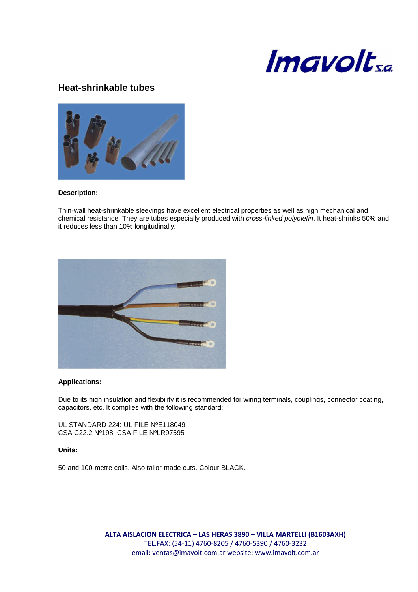

# **Heat-shrinkable tubes**



#### **Description:**

Thin-wall heat-shrinkable sleevings have excellent electrical properties as well as high mechanical and chemical resistance. They are tubes especially produced with cross-linked polyolefin. It heat-shrinks 50% and it reduces less than 10% longitudinally.



#### **Applications:**

Due to its high insulation and flexibility it is recommended for wiring terminals, couplings, connector coating, capacitors, etc. It complies with the following standard:

UL STANDARD 224: UL FILE NºE118049 CSA C22.2 Nº198: CSA FILE NºLR97595

#### **Units:**

50 and 100-metre coils. Also tailor-made cuts. Colour BLACK.

**ALTA AISLACION ELECTRICA – LAS HERAS 3890 – VILLA MARTELLI (B1603AXH)** TEL.FAX: (54-11) 4760-8205 / 4760-5390 / 4760-3232 email: ventas@imavolt.com.ar website: www.imavolt.com.ar